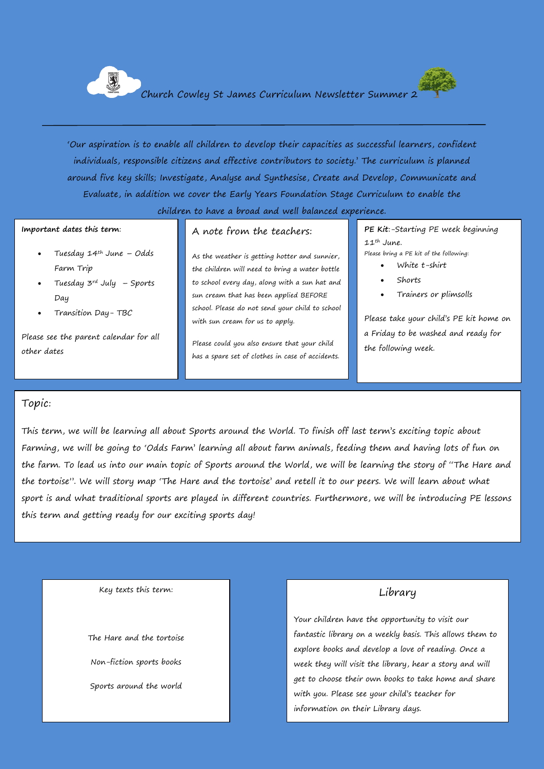



"Our aspiration is to enable all children to develop their capacities as successful learners, confident individuals, responsible citizens and effective contributors to society." The curriculum is planned around five key skills; Investigate, Analyse and Synthesise, Create and Develop, Communicate and Evaluate, in addition we cover the Early Years Foundation Stage Curriculum to enable the children to have a broad and well balanced experience.

#### **Important dates this term**:

- Tuesday  $14^{th}$  June Odds Farm Trip
- Tuesday 3rd July Sports Day
- Transition Day- TBC

Please see the parent calendar for all other dates

## A note from the teachers:

As the weather is getting hotter and sunnier, the children will need to bring a water bottle to school every day, along with a sun hat and sun cream that has been applied BEFORE school. Please do not send your child to school with sun cream for us to apply.

Please could you also ensure that your child has a spare set of clothes in case of accidents. **PE Kit**:-Starting PE week beginning 11th June.

Please bring a PE kit of the following:

- White t-shirt
- Shorts
- Trainers or plimsolls

Please take your child"s PE kit home on a Friday to be washed and ready for the following week.

#### Topic:

This term, we will be learning all about Sports around the World. To finish off last term"s exciting topic about Farming, we will be going to "Odds Farm" learning all about farm animals, feeding them and having lots of fun on the farm. To lead us into our main topic of Sports around the World, we will be learning the story of "The Hare and the tortoise". We will story map "The Hare and the tortoise" and retell it to our peers. We will learn about what sport is and what traditional sports are played in different countries. Furthermore, we will be introducing PE lessons this term and getting ready for our exciting sports day!

Key texts this term:

The Hare and the tortoise Non-fiction sports books Sports around the world

## Library

Your children have the opportunity to visit our fantastic library on a weekly basis. This allows them to explore books and develop a love of reading. Once a week they will visit the library, hear a story and will get to choose their own books to take home and share with you. Please see your child"s teacher for information on their Library days.